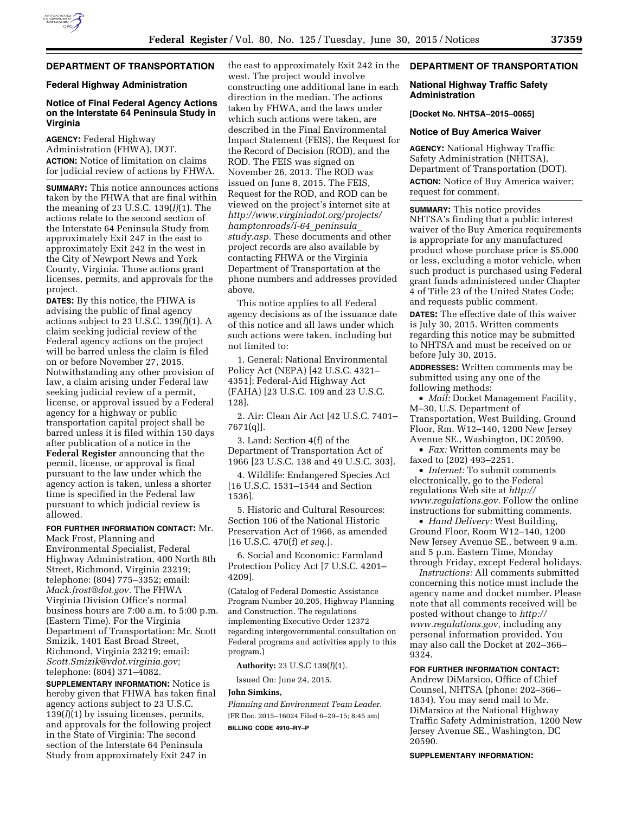

#### **Federal Highway Administration**

# **Notice of Final Federal Agency Actions on the Interstate 64 Peninsula Study in Virginia**

**AGENCY:** Federal Highway Administration (FHWA), DOT. **ACTION:** Notice of limitation on claims for judicial review of actions by FHWA.

**SUMMARY:** This notice announces actions taken by the FHWA that are final within the meaning of 23 U.S.C. 139(*l)*(1). The actions relate to the second section of the Interstate 64 Peninsula Study from approximately Exit 247 in the east to approximately Exit 242 in the west in the City of Newport News and York County, Virginia. Those actions grant licenses, permits, and approvals for the project.

**DATES:** By this notice, the FHWA is advising the public of final agency actions subject to 23 U.S.C. 139(*l*)(1). A claim seeking judicial review of the Federal agency actions on the project will be barred unless the claim is filed on or before November 27, 2015. Notwithstanding any other provision of law, a claim arising under Federal law seeking judicial review of a permit, license, or approval issued by a Federal agency for a highway or public transportation capital project shall be barred unless it is filed within 150 days after publication of a notice in the **Federal Register** announcing that the permit, license, or approval is final pursuant to the law under which the agency action is taken, unless a shorter time is specified in the Federal law pursuant to which judicial review is allowed.

# **FOR FURTHER INFORMATION CONTACT:** Mr.

Mack Frost, Planning and Environmental Specialist, Federal Highway Administration, 400 North 8th Street, Richmond, Virginia 23219; telephone: (804) 775–3352; email: *[Mack.frost@dot.gov.](mailto:Mack.frost@dot.gov)* The FHWA Virginia Division Office's normal business hours are 7:00 a.m. to 5:00 p.m. (Eastern Time). For the Virginia Department of Transportation: Mr. Scott Smizik, 1401 East Broad Street, Richmond, Virginia 23219; email: *[Scott.Smizik@vdot.virginia.gov;](mailto:Scott.Smizik@vdot.virginia.gov)*  telephone: (804) 371–4082.

**SUPPLEMENTARY INFORMATION:** Notice is hereby given that FHWA has taken final agency actions subject to 23 U.S.C. 139(*l*)(1) by issuing licenses, permits, and approvals for the following project in the State of Virginia: The second section of the Interstate 64 Peninsula Study from approximately Exit 247 in

the east to approximately Exit 242 in the west. The project would involve constructing one additional lane in each direction in the median. The actions taken by FHWA, and the laws under which such actions were taken, are described in the Final Environmental Impact Statement (FEIS), the Request for the Record of Decision (ROD), and the ROD. The FEIS was signed on November 26, 2013. The ROD was issued on June 8, 2015. The FEIS, Request for the ROD, and ROD can be viewed on the project's internet site at *[http://www.virginiadot.org/projects/](http://www.virginiadot.org/projects/hamptonroads/i-64_peninsula_study.asp) [hamptonroads/i-64](http://www.virginiadot.org/projects/hamptonroads/i-64_peninsula_study.asp)*\_*peninsula*\_ *[study.asp.](http://www.virginiadot.org/projects/hamptonroads/i-64_peninsula_study.asp)* These documents and other project records are also available by contacting FHWA or the Virginia Department of Transportation at the phone numbers and addresses provided above.

This notice applies to all Federal agency decisions as of the issuance date of this notice and all laws under which such actions were taken, including but not limited to:

1. General: National Environmental Policy Act (NEPA) [42 U.S.C. 4321– 4351]; Federal-Aid Highway Act (FAHA) [23 U.S.C. 109 and 23 U.S.C. 128].

2. Air: Clean Air Act [42 U.S.C. 7401– 7671(q)].

3. Land: Section 4(f) of the Department of Transportation Act of 1966 [23 U.S.C. 138 and 49 U.S.C. 303].

4. Wildlife: Endangered Species Act [16 U.S.C. 1531–1544 and Section 1536].

5. Historic and Cultural Resources: Section 106 of the National Historic Preservation Act of 1966, as amended [16 U.S.C. 470(f) *et seq.*].

6. Social and Economic: Farmland Protection Policy Act [7 U.S.C. 4201– 4209].

(Catalog of Federal Domestic Assistance Program Number 20.205, Highway Planning and Construction. The regulations implementing Executive Order 12372 regarding intergovernmental consultation on Federal programs and activities apply to this program.)

**Authority:** 23 U.S.C 139(*l*)(1).

Issued On: June 24, 2015.

# **John Simkins,**

*Planning and Environment Team Leader.*  [FR Doc. 2015–16024 Filed 6–29–15; 8:45 am] **BILLING CODE 4910–RY–P** 

### **DEPARTMENT OF TRANSPORTATION**

### **National Highway Traffic Safety Administration**

# **[Docket No. NHTSA–2015–0065]**

#### **Notice of Buy America Waiver**

**AGENCY:** National Highway Traffic Safety Administration (NHTSA), Department of Transportation (DOT). **ACTION:** Notice of Buy America waiver; request for comment.

**SUMMARY:** This notice provides NHTSA's finding that a public interest waiver of the Buy America requirements is appropriate for any manufactured product whose purchase price is \$5,000 or less, excluding a motor vehicle, when such product is purchased using Federal grant funds administered under Chapter 4 of Title 23 of the United States Code; and requests public comment.

**DATES:** The effective date of this waiver is July 30, 2015. Written comments regarding this notice may be submitted to NHTSA and must be received on or before July 30, 2015.

**ADDRESSES:** Written comments may be submitted using any one of the following methods:

• *Mail:* Docket Management Facility, M–30, U.S. Department of Transportation, West Building, Ground Floor, Rm. W12–140, 1200 New Jersey Avenue SE., Washington, DC 20590.

• *Fax:* Written comments may be faxed to (202) 493–2251.

• *Internet:* To submit comments electronically, go to the Federal regulations Web site at *[http://](http://www.regulations.gov) [www.regulations.gov.](http://www.regulations.gov)* Follow the online instructions for submitting comments.

• *Hand Delivery:* West Building, Ground Floor, Room W12–140, 1200 New Jersey Avenue SE., between 9 a.m. and 5 p.m. Eastern Time, Monday through Friday, except Federal holidays.

*Instructions:* All comments submitted concerning this notice must include the agency name and docket number. Please note that all comments received will be posted without change to *[http://](http://www.regulations.gov) [www.regulations.gov,](http://www.regulations.gov)* including any personal information provided. You may also call the Docket at 202–366– 9324.

#### **FOR FURTHER INFORMATION CONTACT:**

Andrew DiMarsico, Office of Chief Counsel, NHTSA (phone: 202–366– 1834). You may send mail to Mr. DiMarsico at the National Highway Traffic Safety Administration, 1200 New Jersey Avenue SE., Washington, DC 20590.

#### **SUPPLEMENTARY INFORMATION:**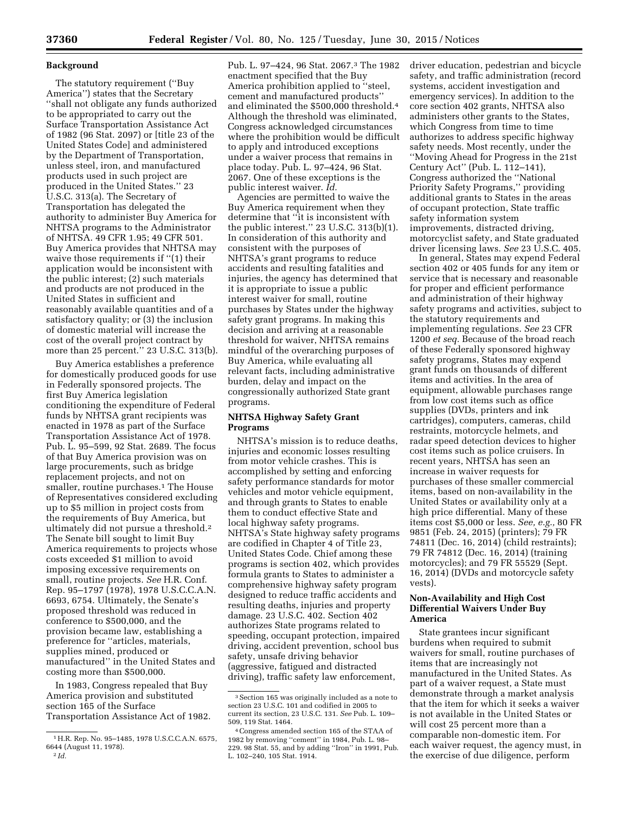# **Background**

The statutory requirement (''Buy America'') states that the Secretary ''shall not obligate any funds authorized to be appropriated to carry out the Surface Transportation Assistance Act of 1982 (96 Stat. 2097) or [title 23 of the United States Code] and administered by the Department of Transportation, unless steel, iron, and manufactured products used in such project are produced in the United States.'' 23 U.S.C. 313(a). The Secretary of Transportation has delegated the authority to administer Buy America for NHTSA programs to the Administrator of NHTSA. 49 CFR 1.95; 49 CFR 501. Buy America provides that NHTSA may waive those requirements if ''(1) their application would be inconsistent with the public interest; (2) such materials and products are not produced in the United States in sufficient and reasonably available quantities and of a satisfactory quality; or (3) the inclusion of domestic material will increase the cost of the overall project contract by more than 25 percent.'' 23 U.S.C. 313(b).

Buy America establishes a preference for domestically produced goods for use in Federally sponsored projects. The first Buy America legislation conditioning the expenditure of Federal funds by NHTSA grant recipients was enacted in 1978 as part of the Surface Transportation Assistance Act of 1978. Pub. L. 95–599, 92 Stat. 2689. The focus of that Buy America provision was on large procurements, such as bridge replacement projects, and not on smaller, routine purchases.<sup>1</sup> The House of Representatives considered excluding up to \$5 million in project costs from the requirements of Buy America, but ultimately did not pursue a threshold.2 The Senate bill sought to limit Buy America requirements to projects whose costs exceeded \$1 million to avoid imposing excessive requirements on small, routine projects. *See* H.R. Conf. Rep. 95–1797 (1978), 1978 U.S.C.C.A.N. 6693, 6754. Ultimately, the Senate's proposed threshold was reduced in conference to \$500,000, and the provision became law, establishing a preference for ''articles, materials, supplies mined, produced or manufactured'' in the United States and costing more than \$500,000.

In 1983, Congress repealed that Buy America provision and substituted section 165 of the Surface Transportation Assistance Act of 1982.

Pub. L. 97–424, 96 Stat. 2067.3 The 1982 enactment specified that the Buy America prohibition applied to ''steel, cement and manufactured products'' and eliminated the \$500,000 threshold.4 Although the threshold was eliminated, Congress acknowledged circumstances where the prohibition would be difficult to apply and introduced exceptions under a waiver process that remains in place today. Pub. L. 97–424, 96 Stat. 2067. One of these exceptions is the public interest waiver. *Id.* 

Agencies are permitted to waive the Buy America requirement when they determine that ''it is inconsistent with the public interest.'' 23 U.S.C. 313(b)(1). In consideration of this authority and consistent with the purposes of NHTSA's grant programs to reduce accidents and resulting fatalities and injuries, the agency has determined that it is appropriate to issue a public interest waiver for small, routine purchases by States under the highway safety grant programs. In making this decision and arriving at a reasonable threshold for waiver, NHTSA remains mindful of the overarching purposes of Buy America, while evaluating all relevant facts, including administrative burden, delay and impact on the congressionally authorized State grant programs.

# **NHTSA Highway Safety Grant Programs**

NHTSA's mission is to reduce deaths, injuries and economic losses resulting from motor vehicle crashes. This is accomplished by setting and enforcing safety performance standards for motor vehicles and motor vehicle equipment, and through grants to States to enable them to conduct effective State and local highway safety programs. NHTSA's State highway safety programs are codified in Chapter 4 of Title 23, United States Code. Chief among these programs is section 402, which provides formula grants to States to administer a comprehensive highway safety program designed to reduce traffic accidents and resulting deaths, injuries and property damage. 23 U.S.C. 402. Section 402 authorizes State programs related to speeding, occupant protection, impaired driving, accident prevention, school bus safety, unsafe driving behavior (aggressive, fatigued and distracted driving), traffic safety law enforcement,

driver education, pedestrian and bicycle safety, and traffic administration (record systems, accident investigation and emergency services). In addition to the core section 402 grants, NHTSA also administers other grants to the States, which Congress from time to time authorizes to address specific highway safety needs. Most recently, under the ''Moving Ahead for Progress in the 21st Century Act'' (Pub. L. 112–141), Congress authorized the ''National Priority Safety Programs,'' providing additional grants to States in the areas of occupant protection, State traffic safety information system improvements, distracted driving, motorcyclist safety, and State graduated driver licensing laws. *See* 23 U.S.C. 405.

In general, States may expend Federal section 402 or 405 funds for any item or service that is necessary and reasonable for proper and efficient performance and administration of their highway safety programs and activities, subject to the statutory requirements and implementing regulations. *See* 23 CFR 1200 *et seq.* Because of the broad reach of these Federally sponsored highway safety programs, States may expend grant funds on thousands of different items and activities. In the area of equipment, allowable purchases range from low cost items such as office supplies (DVDs, printers and ink cartridges), computers, cameras, child restraints, motorcycle helmets, and radar speed detection devices to higher cost items such as police cruisers. In recent years, NHTSA has seen an increase in waiver requests for purchases of these smaller commercial items, based on non-availability in the United States or availability only at a high price differential. Many of these items cost \$5,000 or less. *See, e.g.,* 80 FR 9851 (Feb. 24, 2015) (printers); 79 FR 74811 (Dec. 16, 2014) (child restraints); 79 FR 74812 (Dec. 16, 2014) (training motorcycles); and 79 FR 55529 (Sept. 16, 2014) (DVDs and motorcycle safety vests).

# **Non-Availability and High Cost Differential Waivers Under Buy America**

State grantees incur significant burdens when required to submit waivers for small, routine purchases of items that are increasingly not manufactured in the United States. As part of a waiver request, a State must demonstrate through a market analysis that the item for which it seeks a waiver is not available in the United States or will cost 25 percent more than a comparable non-domestic item. For each waiver request, the agency must, in the exercise of due diligence, perform

<sup>1</sup>H.R. Rep. No. 95–1485, 1978 U.S.C.C.A.N. 6575, 6644 (August 11, 1978). 2 *Id.* 

<sup>3</sup>Section 165 was originally included as a note to section 23 U.S.C. 101 and codified in 2005 to current its section, 23 U.S.C. 131. *See* Pub. L. 109– 509, 119 Stat. 1464.

<sup>4</sup>Congress amended section 165 of the STAA of 1982 by removing ''cement'' in 1984, Pub. L. 98– 229. 98 Stat. 55, and by adding ''Iron'' in 1991, Pub. L. 102–240, 105 Stat. 1914.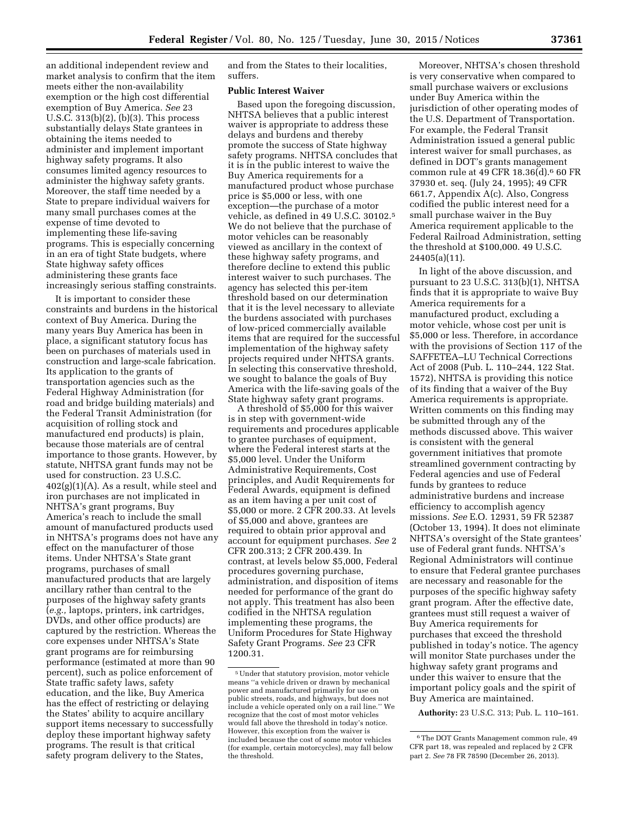an additional independent review and market analysis to confirm that the item meets either the non-availability exemption or the high cost differential exemption of Buy America. *See* 23 U.S.C. 313(b)(2), (b)(3). This process substantially delays State grantees in obtaining the items needed to administer and implement important highway safety programs. It also consumes limited agency resources to administer the highway safety grants. Moreover, the staff time needed by a State to prepare individual waivers for many small purchases comes at the expense of time devoted to implementing these life-saving programs. This is especially concerning in an era of tight State budgets, where State highway safety offices administering these grants face

increasingly serious staffing constraints. It is important to consider these constraints and burdens in the historical context of Buy America. During the many years Buy America has been in place, a significant statutory focus has been on purchases of materials used in construction and large-scale fabrication. Its application to the grants of transportation agencies such as the Federal Highway Administration (for road and bridge building materials) and the Federal Transit Administration (for acquisition of rolling stock and manufactured end products) is plain, because those materials are of central importance to those grants. However, by statute, NHTSA grant funds may not be used for construction. 23 U.S.C. 402(g)(1)(A). As a result, while steel and iron purchases are not implicated in NHTSA's grant programs, Buy America's reach to include the small amount of manufactured products used in NHTSA's programs does not have any effect on the manufacturer of those items. Under NHTSA's State grant programs, purchases of small manufactured products that are largely ancillary rather than central to the purposes of the highway safety grants (*e.g.,* laptops, printers, ink cartridges, DVDs, and other office products) are captured by the restriction. Whereas the core expenses under NHTSA's State grant programs are for reimbursing performance (estimated at more than 90 percent), such as police enforcement of State traffic safety laws, safety education, and the like, Buy America has the effect of restricting or delaying the States' ability to acquire ancillary support items necessary to successfully deploy these important highway safety programs. The result is that critical safety program delivery to the States,

and from the States to their localities, suffers.

### **Public Interest Waiver**

Based upon the foregoing discussion, NHTSA believes that a public interest waiver is appropriate to address these delays and burdens and thereby promote the success of State highway safety programs. NHTSA concludes that it is in the public interest to waive the Buy America requirements for a manufactured product whose purchase price is \$5,000 or less, with one exception—the purchase of a motor vehicle, as defined in 49 U.S.C. 30102.5 We do not believe that the purchase of motor vehicles can be reasonably viewed as ancillary in the context of these highway safety programs, and therefore decline to extend this public interest waiver to such purchases. The agency has selected this per-item threshold based on our determination that it is the level necessary to alleviate the burdens associated with purchases of low-priced commercially available items that are required for the successful implementation of the highway safety projects required under NHTSA grants. In selecting this conservative threshold, we sought to balance the goals of Buy America with the life-saving goals of the State highway safety grant programs.

A threshold of \$5,000 for this waiver is in step with government-wide requirements and procedures applicable to grantee purchases of equipment, where the Federal interest starts at the \$5,000 level. Under the Uniform Administrative Requirements, Cost principles, and Audit Requirements for Federal Awards, equipment is defined as an item having a per unit cost of \$5,000 or more. 2 CFR 200.33. At levels of \$5,000 and above, grantees are required to obtain prior approval and account for equipment purchases. *See* 2 CFR 200.313; 2 CFR 200.439. In contrast, at levels below \$5,000, Federal procedures governing purchase, administration, and disposition of items needed for performance of the grant do not apply. This treatment has also been codified in the NHTSA regulation implementing these programs, the Uniform Procedures for State Highway Safety Grant Programs. *See* 23 CFR 1200.31.

Moreover, NHTSA's chosen threshold is very conservative when compared to small purchase waivers or exclusions under Buy America within the jurisdiction of other operating modes of the U.S. Department of Transportation. For example, the Federal Transit Administration issued a general public interest waiver for small purchases, as defined in DOT's grants management common rule at 49 CFR 18.36(d).6 60 FR 37930 et. seq. (July 24, 1995); 49 CFR 661.7, Appendix A(c). Also, Congress codified the public interest need for a small purchase waiver in the Buy America requirement applicable to the Federal Railroad Administration, setting the threshold at \$100,000. 49 U.S.C. 24405(a)(11).

In light of the above discussion, and pursuant to 23 U.S.C. 313(b)(1), NHTSA finds that it is appropriate to waive Buy America requirements for a manufactured product, excluding a motor vehicle, whose cost per unit is \$5,000 or less. Therefore, in accordance with the provisions of Section 117 of the SAFFETEA–LU Technical Corrections Act of 2008 (Pub. L. 110–244, 122 Stat. 1572), NHTSA is providing this notice of its finding that a waiver of the Buy America requirements is appropriate. Written comments on this finding may be submitted through any of the methods discussed above. This waiver is consistent with the general government initiatives that promote streamlined government contracting by Federal agencies and use of Federal funds by grantees to reduce administrative burdens and increase efficiency to accomplish agency missions. *See* E.O. 12931, 59 FR 52387 (October 13, 1994). It does not eliminate NHTSA's oversight of the State grantees' use of Federal grant funds. NHTSA's Regional Administrators will continue to ensure that Federal grantee purchases are necessary and reasonable for the purposes of the specific highway safety grant program. After the effective date, grantees must still request a waiver of Buy America requirements for purchases that exceed the threshold published in today's notice. The agency will monitor State purchases under the highway safety grant programs and under this waiver to ensure that the important policy goals and the spirit of Buy America are maintained.

**Authority:** 23 U.S.C. 313; Pub. L. 110–161.

<sup>5</sup>Under that statutory provision, motor vehicle means ''a vehicle driven or drawn by mechanical power and manufactured primarily for use on public streets, roads, and highways, but does not include a vehicle operated only on a rail line.'' We recognize that the cost of most motor vehicles would fall above the threshold in today's notice. However, this exception from the waiver is included because the cost of some motor vehicles (for example, certain motorcycles), may fall below the threshold.

<sup>6</sup>The DOT Grants Management common rule, 49 CFR part 18, was repealed and replaced by 2 CFR part 2. *See* 78 FR 78590 (December 26, 2013).